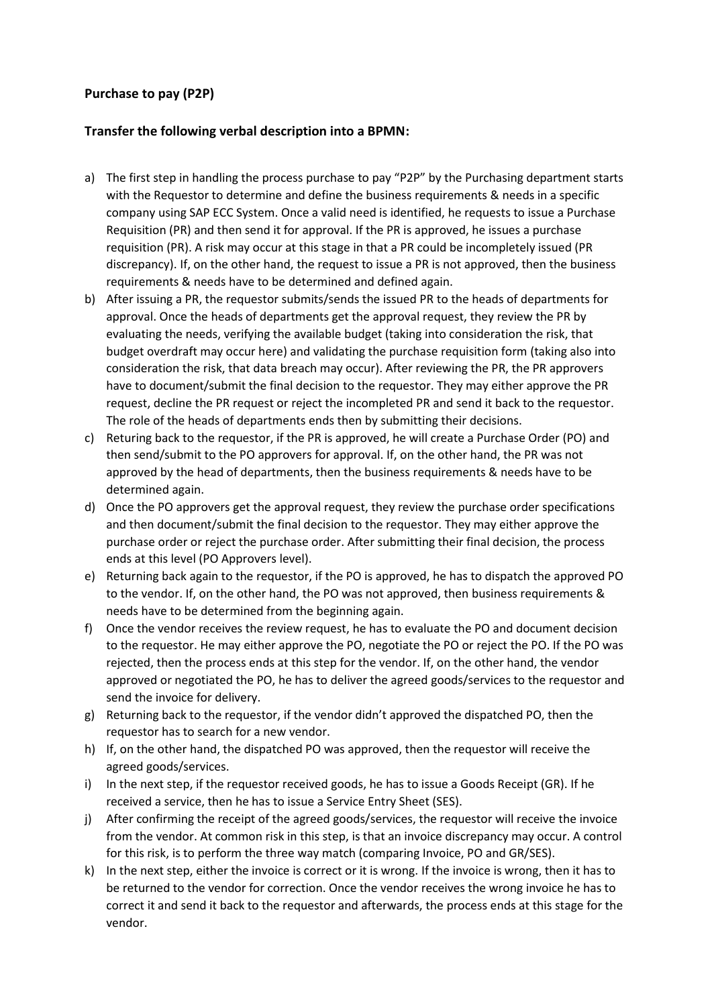## **Purchase to pay (P2P)**

## **Transfer the following verbal description into a BPMN:**

- a) The first step in handling the process purchase to pay "P2P" by the Purchasing department starts with the Requestor to determine and define the business requirements & needs in a specific company using SAP ECC System. Once a valid need is identified, he requests to issue a Purchase Requisition (PR) and then send it for approval. If the PR is approved, he issues a purchase requisition (PR). A risk may occur at this stage in that a PR could be incompletely issued (PR discrepancy). If, on the other hand, the request to issue a PR is not approved, then the business requirements & needs have to be determined and defined again.
- b) After issuing a PR, the requestor submits/sends the issued PR to the heads of departments for approval. Once the heads of departments get the approval request, they review the PR by evaluating the needs, verifying the available budget (taking into consideration the risk, that budget overdraft may occur here) and validating the purchase requisition form (taking also into consideration the risk, that data breach may occur). After reviewing the PR, the PR approvers have to document/submit the final decision to the requestor. They may either approve the PR request, decline the PR request or reject the incompleted PR and send it back to the requestor. The role of the heads of departments ends then by submitting their decisions.
- c) Returing back to the requestor, if the PR is approved, he will create a Purchase Order (PO) and then send/submit to the PO approvers for approval. If, on the other hand, the PR was not approved by the head of departments, then the business requirements & needs have to be determined again.
- d) Once the PO approvers get the approval request, they review the purchase order specifications and then document/submit the final decision to the requestor. They may either approve the purchase order or reject the purchase order. After submitting their final decision, the process ends at this level (PO Approvers level).
- e) Returning back again to the requestor, if the PO is approved, he has to dispatch the approved PO to the vendor. If, on the other hand, the PO was not approved, then business requirements & needs have to be determined from the beginning again.
- f) Once the vendor receives the review request, he has to evaluate the PO and document decision to the requestor. He may either approve the PO, negotiate the PO or reject the PO. If the PO was rejected, then the process ends at this step for the vendor. If, on the other hand, the vendor approved or negotiated the PO, he has to deliver the agreed goods/services to the requestor and send the invoice for delivery.
- g) Returning back to the requestor, if the vendor didn't approved the dispatched PO, then the requestor has to search for a new vendor.
- h) If, on the other hand, the dispatched PO was approved, then the requestor will receive the agreed goods/services.
- i) In the next step, if the requestor received goods, he has to issue a Goods Receipt (GR). If he received a service, then he has to issue a Service Entry Sheet (SES).
- j) After confirming the receipt of the agreed goods/services, the requestor will receive the invoice from the vendor. At common risk in this step, is that an invoice discrepancy may occur. A control for this risk, is to perform the three way match (comparing Invoice, PO and GR/SES).
- k) In the next step, either the invoice is correct or it is wrong. If the invoice is wrong, then it has to be returned to the vendor for correction. Once the vendor receives the wrong invoice he has to correct it and send it back to the requestor and afterwards, the process ends at this stage for the vendor.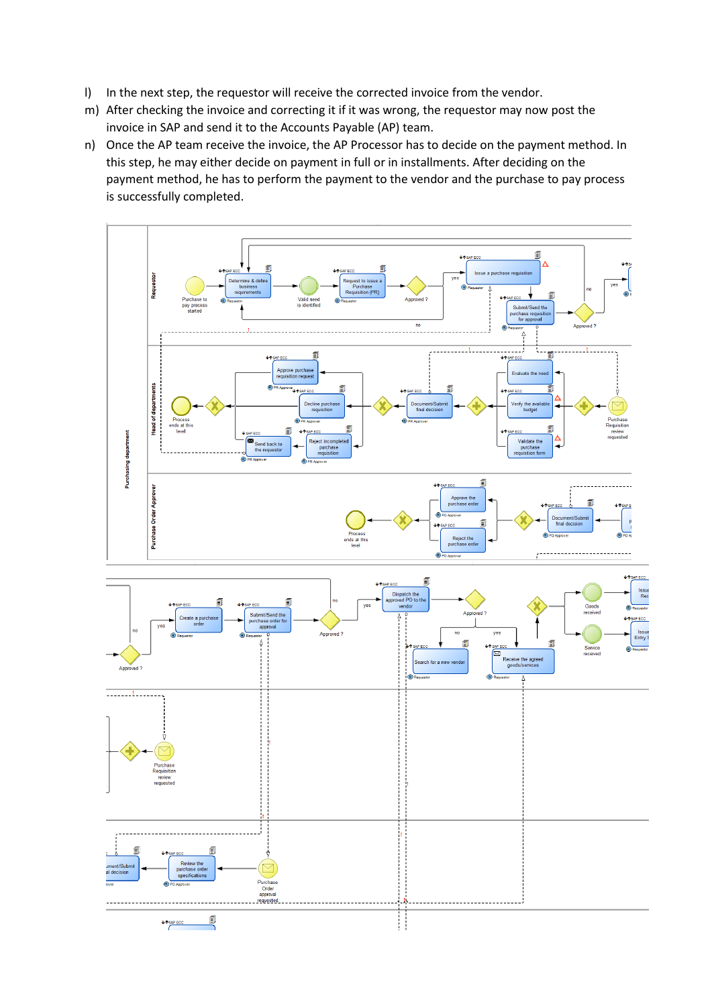- l) In the next step, the requestor will receive the corrected invoice from the vendor.
- m) After checking the invoice and correcting it if it was wrong, the requestor may now post the invoice in SAP and send it to the Accounts Payable (AP) team.
- n) Once the AP team receive the invoice, the AP Processor has to decide on the payment method. In this step, he may either decide on payment in full or in installments. After deciding on the payment method, he has to perform the payment to the vendor and the purchase to pay process is successfully completed.

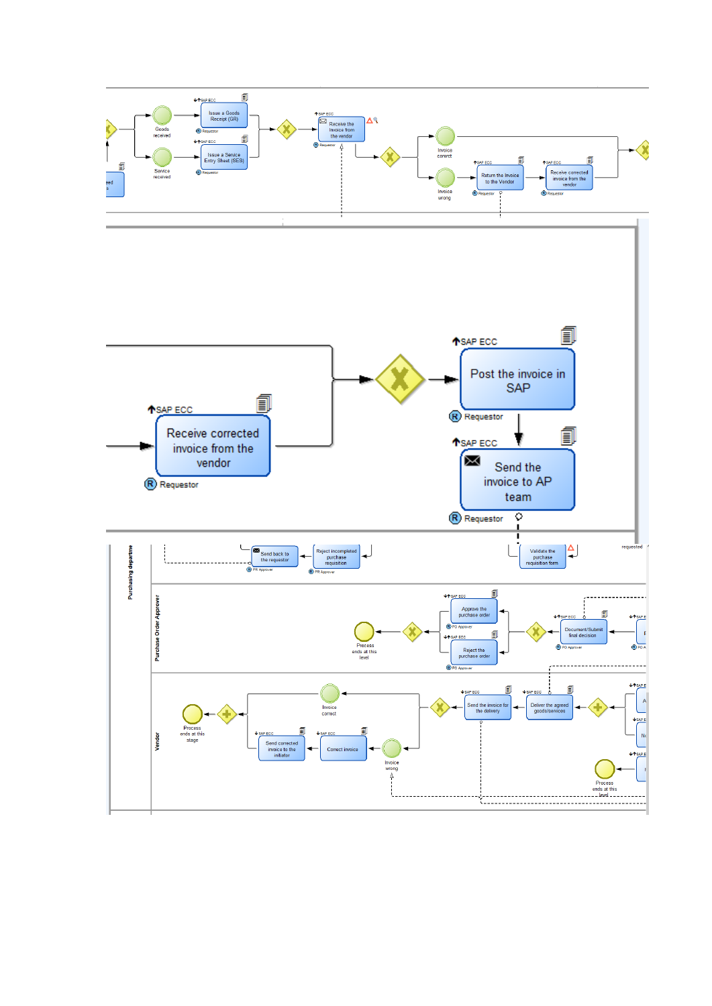